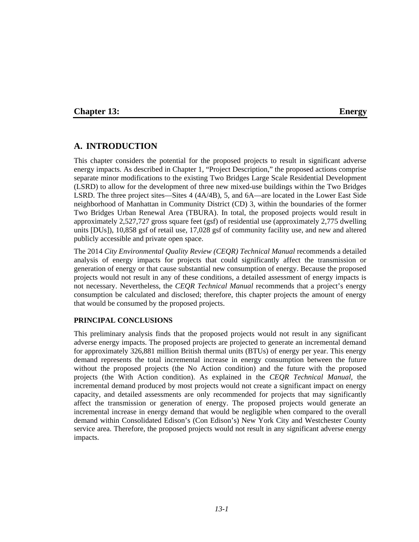#### **Chapter 13: Energy**

## **A. INTRODUCTION**

This chapter considers the potential for the proposed projects to result in significant adverse energy impacts. As described in Chapter 1, "Project Description," the proposed actions comprise separate minor modifications to the existing Two Bridges Large Scale Residential Development (LSRD) to allow for the development of three new mixed-use buildings within the Two Bridges LSRD. The three project sites—Sites 4 (4A/4B), 5, and 6A—are located in the Lower East Side neighborhood of Manhattan in Community District (CD) 3, within the boundaries of the former Two Bridges Urban Renewal Area (TBURA). In total, the proposed projects would result in approximately 2,527,727 gross square feet (gsf) of residential use (approximately 2,775 dwelling units [DUs]), 10,858 gsf of retail use, 17,028 gsf of community facility use, and new and altered publicly accessible and private open space.

The 2014 *City Environmental Quality Review (CEQR) Technical Manual* recommends a detailed analysis of energy impacts for projects that could significantly affect the transmission or generation of energy or that cause substantial new consumption of energy. Because the proposed projects would not result in any of these conditions, a detailed assessment of energy impacts is not necessary. Nevertheless, the *CEQR Technical Manual* recommends that a project's energy consumption be calculated and disclosed; therefore, this chapter projects the amount of energy that would be consumed by the proposed projects.

#### **PRINCIPAL CONCLUSIONS**

This preliminary analysis finds that the proposed projects would not result in any significant adverse energy impacts. The proposed projects are projected to generate an incremental demand for approximately 326,881 million British thermal units (BTUs) of energy per year. This energy demand represents the total incremental increase in energy consumption between the future without the proposed projects (the No Action condition) and the future with the proposed projects (the With Action condition). As explained in the *CEQR Technical Manual*, the incremental demand produced by most projects would not create a significant impact on energy capacity, and detailed assessments are only recommended for projects that may significantly affect the transmission or generation of energy. The proposed projects would generate an incremental increase in energy demand that would be negligible when compared to the overall demand within Consolidated Edison's (Con Edison's) New York City and Westchester County service area. Therefore, the proposed projects would not result in any significant adverse energy impacts.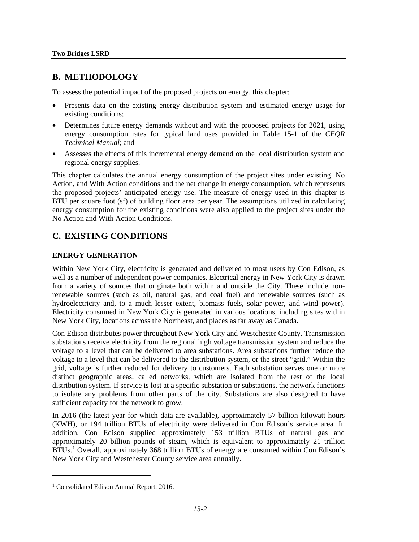## **B. METHODOLOGY**

To assess the potential impact of the proposed projects on energy, this chapter:

- Presents data on the existing energy distribution system and estimated energy usage for existing conditions;
- Determines future energy demands without and with the proposed projects for 2021, using energy consumption rates for typical land uses provided in Table 15-1 of the *CEQR Technical Manual*; and
- Assesses the effects of this incremental energy demand on the local distribution system and regional energy supplies.

This chapter calculates the annual energy consumption of the project sites under existing, No Action, and With Action conditions and the net change in energy consumption, which represents the proposed projects' anticipated energy use. The measure of energy used in this chapter is BTU per square foot (sf) of building floor area per year. The assumptions utilized in calculating energy consumption for the existing conditions were also applied to the project sites under the No Action and With Action Conditions.

# **C. EXISTING CONDITIONS**

#### **ENERGY GENERATION**

Within New York City, electricity is generated and delivered to most users by Con Edison, as well as a number of independent power companies. Electrical energy in New York City is drawn from a variety of sources that originate both within and outside the City. These include nonrenewable sources (such as oil, natural gas, and coal fuel) and renewable sources (such as hydroelectricity and, to a much lesser extent, biomass fuels, solar power, and wind power). Electricity consumed in New York City is generated in various locations, including sites within New York City, locations across the Northeast, and places as far away as Canada.

Con Edison distributes power throughout New York City and Westchester County. Transmission substations receive electricity from the regional high voltage transmission system and reduce the voltage to a level that can be delivered to area substations. Area substations further reduce the voltage to a level that can be delivered to the distribution system, or the street "grid." Within the grid, voltage is further reduced for delivery to customers. Each substation serves one or more distinct geographic areas, called networks, which are isolated from the rest of the local distribution system. If service is lost at a specific substation or substations, the network functions to isolate any problems from other parts of the city. Substations are also designed to have sufficient capacity for the network to grow.

In 2016 (the latest year for which data are available), approximately 57 billion kilowatt hours (KWH), or 194 trillion BTUs of electricity were delivered in Con Edison's service area. In addition, Con Edison supplied approximately 153 trillion BTUs of natural gas and approximately 20 billion pounds of steam, which is equivalent to approximately 21 trillion BTUs.<sup>[1](#page-1-0)</sup> Overall, approximately 368 trillion BTUs of energy are consumed within Con Edison's New York City and Westchester County service area annually.

 $\overline{a}$ 

<span id="page-1-0"></span><sup>&</sup>lt;sup>1</sup> Consolidated Edison Annual Report, 2016.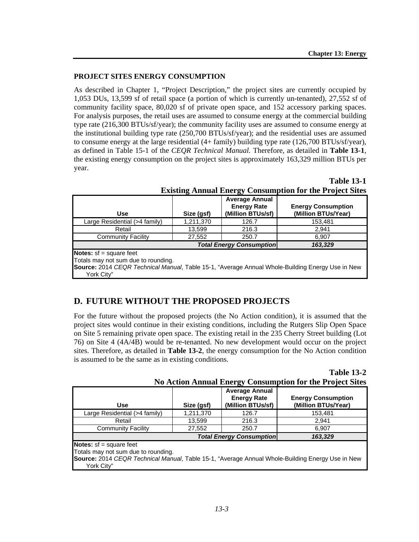#### **PROJECT SITES ENERGY CONSUMPTION**

As described in Chapter 1, "Project Description," the project sites are currently occupied by 1,053 DUs, 13,599 sf of retail space (a portion of which is currently un-tenanted), 27,552 sf of community facility space, 80,020 sf of private open space, and 152 accessory parking spaces. For analysis purposes, the retail uses are assumed to consume energy at the commercial building type rate (216,300 BTUs/sf/year); the community facility uses are assumed to consume energy at the institutional building type rate (250,700 BTUs/sf/year); and the residential uses are assumed to consume energy at the large residential (4+ family) building type rate (126,700 BTUs/sf/year), as defined in Table 15-1 of the *CEQR Technical Manual.* Therefore, as detailed in **Table 13-1**, the existing energy consumption on the project sites is approximately 163,329 million BTUs per year.

**Use Size (gsf) Average Annual Energy Rate (Million BTUs/sf) Energy Consumption (Million BTUs/Year)** Large Residential (>4 family) | 1,211,370 | 126.7 | 153,481 Retail 13,599 216.3 2,941 **Community Facility** 27,552 250.7 6,907 *Total Energy Consumption 163,329* **Notes:** sf = square feet Totals may not sum due to rounding. **Source:** 2014 *CEQR Technical Manual*, Table 15-1, "Average Annual Whole-Building Energy Use in New York City"

### **Table 13-1 Existing Annual Energy Consumption for the Project Sites**

## **D. FUTURE WITHOUT THE PROPOSED PROJECTS**

For the future without the proposed projects (the No Action condition), it is assumed that the project sites would continue in their existing conditions, including the Rutgers Slip Open Space on Site 5 remaining private open space. The existing retail in the 235 Cherry Street building (Lot 76) on Site 4 (4A/4B) would be re-tenanted. No new development would occur on the project sites. Therefore, as detailed in **Table 13-2**, the energy consumption for the No Action condition is assumed to be the same as in existing conditions.

|                                                                  | <b>Table 13-2</b> |
|------------------------------------------------------------------|-------------------|
| <b>No Action Annual Energy Consumption for the Project Sites</b> |                   |

|                                                                                                                |            | ~                                                                |                                                  |  |  |
|----------------------------------------------------------------------------------------------------------------|------------|------------------------------------------------------------------|--------------------------------------------------|--|--|
| <b>Use</b>                                                                                                     | Size (gsf) | <b>Average Annual</b><br><b>Energy Rate</b><br>(Million BTUs/sf) | <b>Energy Consumption</b><br>(Million BTUs/Year) |  |  |
| Large Residential (>4 family)                                                                                  | 1,211,370  | 126.7                                                            | 153,481                                          |  |  |
| Retail                                                                                                         | 13,599     | 216.3                                                            | 2.941                                            |  |  |
| <b>Community Facility</b>                                                                                      | 27,552     | 250.7                                                            | 6,907                                            |  |  |
| <b>Total Energy Consumption</b>                                                                                |            |                                                                  | 163,329                                          |  |  |
| <b>Notes:</b> $sf = square feet$<br>Totals may not sum due to rounding.                                        |            |                                                                  |                                                  |  |  |
| Source: 2014 CEQR Technical Manual, Table 15-1, "Average Annual Whole-Building Energy Use in New<br>York City" |            |                                                                  |                                                  |  |  |